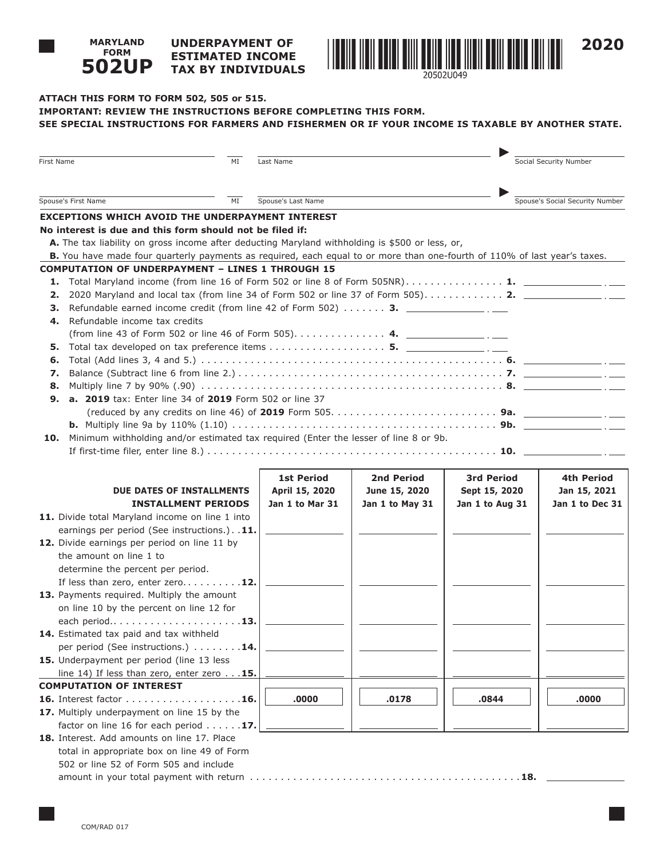## **UNDERPAYMENT OF ESTIMATED INCOME TAX BY INDIVIDUALS 502UP**



# **ATTACH THIS FORM TO FORM 502, 505 or 515. IMPORTANT: REVIEW THE INSTRUCTIONS BEFORE COMPLETING THIS FORM. SEE SPECIAL INSTRUCTIONS FOR FARMERS AND FISHERMEN OR IF YOUR INCOME IS TAXABLE BY ANOTHER STATE.**

| First Name                                                                                                                | MI                         | Last Name          |                 |                   | Social Security Number          |  |
|---------------------------------------------------------------------------------------------------------------------------|----------------------------|--------------------|-----------------|-------------------|---------------------------------|--|
| Spouse's First Name<br>ΜI                                                                                                 |                            | Spouse's Last Name |                 |                   | Spouse's Social Security Number |  |
| <b>EXCEPTIONS WHICH AVOID THE UNDERPAYMENT INTEREST</b>                                                                   |                            |                    |                 |                   |                                 |  |
| No interest is due and this form should not be filed if:                                                                  |                            |                    |                 |                   |                                 |  |
| A. The tax liability on gross income after deducting Maryland withholding is \$500 or less, or,                           |                            |                    |                 |                   |                                 |  |
| B. You have made four quarterly payments as required, each equal to or more than one-fourth of 110% of last year's taxes. |                            |                    |                 |                   |                                 |  |
| <b>COMPUTATION OF UNDERPAYMENT - LINES 1 THROUGH 15</b>                                                                   |                            |                    |                 |                   |                                 |  |
| Total Maryland income (from line 16 of Form 502 or line 8 of Form 505NR) 1. $\Box$<br>1.                                  |                            |                    |                 |                   |                                 |  |
| 2020 Maryland and local tax (from line 34 of Form 502 or line 37 of Form 505) 2. $\frac{1}{2}$<br>2.                      |                            |                    |                 |                   |                                 |  |
| Refundable earned income credit (from line 42 of Form 502) $\dots \dots$ 3.<br>з.                                         |                            |                    |                 |                   |                                 |  |
| Refundable income tax credits<br>4.                                                                                       |                            |                    |                 |                   |                                 |  |
| (from line 43 of Form 502 or line 46 of Form 505). 4. $\frac{4}{2}$                                                       |                            |                    |                 |                   |                                 |  |
| Total tax developed on tax preference items 5. $\frac{1}{\sqrt{2}}$<br>5.                                                 |                            |                    |                 |                   |                                 |  |
| 6.                                                                                                                        |                            |                    |                 |                   |                                 |  |
| 7.                                                                                                                        |                            |                    |                 |                   |                                 |  |
| 8.<br><b>a. 2019</b> tax: Enter line 34 of 2019 Form 502 or line 37<br>9.                                                 |                            |                    |                 |                   |                                 |  |
|                                                                                                                           |                            |                    |                 |                   |                                 |  |
|                                                                                                                           |                            |                    |                 |                   |                                 |  |
| Minimum withholding and/or estimated tax required (Enter the lesser of line 8 or 9b.<br>10.                               |                            |                    |                 |                   |                                 |  |
|                                                                                                                           |                            |                    |                 |                   |                                 |  |
|                                                                                                                           |                            |                    |                 |                   |                                 |  |
|                                                                                                                           |                            | <b>1st Period</b>  | 2nd Period      | <b>3rd Period</b> | 4th Period                      |  |
| DUE DATES OF INSTALLMENTS                                                                                                 |                            | April 15, 2020     | June 15, 2020   | Sept 15, 2020     | Jan 15, 2021                    |  |
|                                                                                                                           | <b>INSTALLMENT PERIODS</b> | Jan 1 to Mar 31    | Jan 1 to May 31 | Jan 1 to Aug 31   | Jan 1 to Dec 31                 |  |
| 11. Divide total Maryland income on line 1 into                                                                           |                            |                    |                 |                   |                                 |  |
| earnings per period (See instructions.). . 11.                                                                            |                            |                    |                 |                   |                                 |  |
| 12. Divide earnings per period on line 11 by                                                                              |                            |                    |                 |                   |                                 |  |
| the amount on line 1 to                                                                                                   |                            |                    |                 |                   |                                 |  |
| determine the percent per period.                                                                                         |                            |                    |                 |                   |                                 |  |
| If less than zero, enter zero12.                                                                                          |                            |                    |                 |                   |                                 |  |
| 13. Payments required. Multiply the amount                                                                                |                            |                    |                 |                   |                                 |  |
| on line 10 by the percent on line 12 for                                                                                  |                            |                    |                 |                   |                                 |  |
|                                                                                                                           |                            |                    |                 |                   |                                 |  |
| 14. Estimated tax paid and tax withheld                                                                                   |                            |                    |                 |                   |                                 |  |
| per period (See instructions.) 14.                                                                                        |                            |                    |                 |                   |                                 |  |
| 15. Underpayment per period (line 13 less                                                                                 |                            |                    |                 |                   |                                 |  |
| line 14) If less than zero, enter zero $\ldots$ 15.                                                                       |                            |                    |                 |                   |                                 |  |
| <b>COMPUTATION OF INTEREST</b>                                                                                            |                            |                    |                 |                   |                                 |  |
| <b>16.</b> Interest factor <b>16.</b>                                                                                     |                            | .0000              | .0178           | .0844             | .0000                           |  |
| 17. Multiply underpayment on line 15 by the<br>factor on line 16 for each period $\ldots \ldots$ 17.                      |                            |                    |                 |                   |                                 |  |
| 18. Interest. Add amounts on line 17. Place                                                                               |                            |                    |                 |                   |                                 |  |
| total in appropriate box on line 49 of Form                                                                               |                            |                    |                 |                   |                                 |  |
| 502 or line 52 of Form 505 and include                                                                                    |                            |                    |                 |                   |                                 |  |
|                                                                                                                           |                            |                    |                 |                   |                                 |  |
|                                                                                                                           |                            |                    |                 |                   |                                 |  |